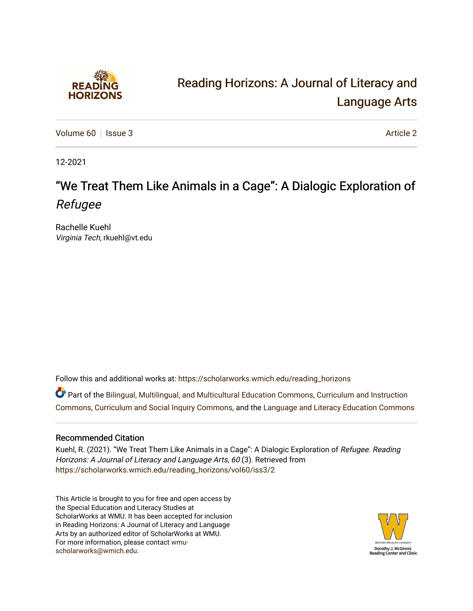

# [Reading Horizons: A Journal of Literacy and](https://scholarworks.wmich.edu/reading_horizons)  [Language Arts](https://scholarworks.wmich.edu/reading_horizons)

[Volume 60](https://scholarworks.wmich.edu/reading_horizons/vol60) | [Issue 3](https://scholarworks.wmich.edu/reading_horizons/vol60/iss3) [Article 2](https://scholarworks.wmich.edu/reading_horizons/vol60/iss3/2) Article 2

12-2021

# "We Treat Them Like Animals in a Cage": A Dialogic Exploration of Refugee

Rachelle Kuehl Virginia Tech, rkuehl@vt.edu

Follow this and additional works at: [https://scholarworks.wmich.edu/reading\\_horizons](https://scholarworks.wmich.edu/reading_horizons?utm_source=scholarworks.wmich.edu%2Freading_horizons%2Fvol60%2Fiss3%2F2&utm_medium=PDF&utm_campaign=PDFCoverPages)

Part of the [Bilingual, Multilingual, and Multicultural Education Commons,](http://network.bepress.com/hgg/discipline/785?utm_source=scholarworks.wmich.edu%2Freading_horizons%2Fvol60%2Fiss3%2F2&utm_medium=PDF&utm_campaign=PDFCoverPages) [Curriculum and Instruction](http://network.bepress.com/hgg/discipline/786?utm_source=scholarworks.wmich.edu%2Freading_horizons%2Fvol60%2Fiss3%2F2&utm_medium=PDF&utm_campaign=PDFCoverPages)  [Commons](http://network.bepress.com/hgg/discipline/786?utm_source=scholarworks.wmich.edu%2Freading_horizons%2Fvol60%2Fiss3%2F2&utm_medium=PDF&utm_campaign=PDFCoverPages), [Curriculum and Social Inquiry Commons](http://network.bepress.com/hgg/discipline/1038?utm_source=scholarworks.wmich.edu%2Freading_horizons%2Fvol60%2Fiss3%2F2&utm_medium=PDF&utm_campaign=PDFCoverPages), and the [Language and Literacy Education Commons](http://network.bepress.com/hgg/discipline/1380?utm_source=scholarworks.wmich.edu%2Freading_horizons%2Fvol60%2Fiss3%2F2&utm_medium=PDF&utm_campaign=PDFCoverPages) 

## Recommended Citation

Kuehl, R. (2021). "We Treat Them Like Animals in a Cage": A Dialogic Exploration of Refugee. Reading Horizons: A Journal of Literacy and Language Arts, 60 (3). Retrieved from [https://scholarworks.wmich.edu/reading\\_horizons/vol60/iss3/2](https://scholarworks.wmich.edu/reading_horizons/vol60/iss3/2?utm_source=scholarworks.wmich.edu%2Freading_horizons%2Fvol60%2Fiss3%2F2&utm_medium=PDF&utm_campaign=PDFCoverPages) 

This Article is brought to you for free and open access by the Special Education and Literacy Studies at ScholarWorks at WMU. It has been accepted for inclusion in Reading Horizons: A Journal of Literacy and Language Arts by an authorized editor of ScholarWorks at WMU. For more information, please contact [wmu](mailto:wmu-scholarworks@wmich.edu)[scholarworks@wmich.edu.](mailto:wmu-scholarworks@wmich.edu)

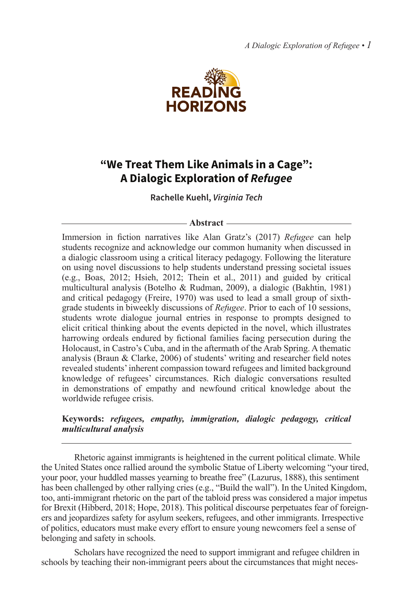*A Dialogic Exploration of Refugee • 1*



## **"We Treat Them Like Animals in a Cage": A Dialogic Exploration of** *Refugee*

**Rachelle Kuehl,** *Virginia Tech*

#### **Abstract**

Immersion in fiction narratives like Alan Gratz's (2017) *Refugee* can help students recognize and acknowledge our common humanity when discussed in a dialogic classroom using a critical literacy pedagogy. Following the literature on using novel discussions to help students understand pressing societal issues (e.g., Boas, 2012; Hsieh, 2012; Thein et al., 2011) and guided by critical multicultural analysis (Botelho & Rudman, 2009), a dialogic (Bakhtin, 1981) and critical pedagogy (Freire, 1970) was used to lead a small group of sixthgrade students in biweekly discussions of *Refugee*. Prior to each of 10 sessions, students wrote dialogue journal entries in response to prompts designed to elicit critical thinking about the events depicted in the novel, which illustrates harrowing ordeals endured by fictional families facing persecution during the Holocaust, in Castro's Cuba, and in the aftermath of the Arab Spring. A thematic analysis (Braun & Clarke, 2006) of students' writing and researcher field notes revealed students' inherent compassion toward refugees and limited background knowledge of refugees' circumstances. Rich dialogic conversations resulted in demonstrations of empathy and newfound critical knowledge about the worldwide refugee crisis.

## **Keywords:** *refugees, empathy, immigration, dialogic pedagogy, critical multicultural analysis*

Rhetoric against immigrants is heightened in the current political climate. While the United States once rallied around the symbolic Statue of Liberty welcoming "your tired, your poor, your huddled masses yearning to breathe free" (Lazurus, 1888), this sentiment has been challenged by other rallying cries (e.g., "Build the wall"). In the United Kingdom, too, anti-immigrant rhetoric on the part of the tabloid press was considered a major impetus for Brexit (Hibberd, 2018; Hope, 2018). This political discourse perpetuates fear of foreigners and jeopardizes safety for asylum seekers, refugees, and other immigrants. Irrespective of politics, educators must make every effort to ensure young newcomers feel a sense of belonging and safety in schools.

Scholars have recognized the need to support immigrant and refugee children in schools by teaching their non-immigrant peers about the circumstances that might neces-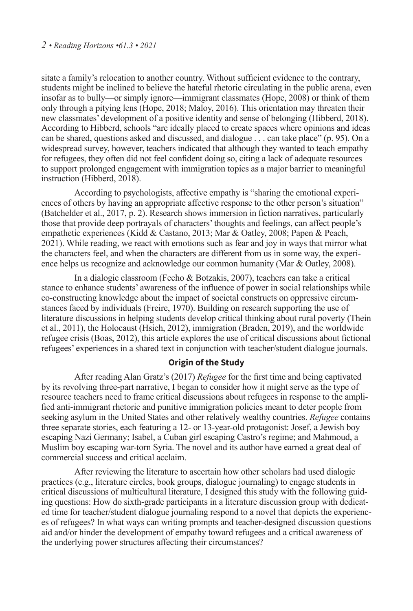#### *2 • Reading Horizons •61.3 • 2021*

sitate a family's relocation to another country. Without sufficient evidence to the contrary, students might be inclined to believe the hateful rhetoric circulating in the public arena, even insofar as to bully—or simply ignore—immigrant classmates (Hope, 2008) or think of them only through a pitying lens (Hope, 2018; Maloy, 2016). This orientation may threaten their new classmates' development of a positive identity and sense of belonging (Hibberd, 2018). According to Hibberd, schools "are ideally placed to create spaces where opinions and ideas can be shared, questions asked and discussed, and dialogue . . . can take place" (p. 95). On a widespread survey, however, teachers indicated that although they wanted to teach empathy for refugees, they often did not feel confident doing so, citing a lack of adequate resources to support prolonged engagement with immigration topics as a major barrier to meaningful instruction (Hibberd, 2018).

According to psychologists, affective empathy is "sharing the emotional experiences of others by having an appropriate affective response to the other person's situation" (Batchelder et al., 2017, p. 2). Research shows immersion in fiction narratives, particularly those that provide deep portrayals of characters' thoughts and feelings, can affect people's empathetic experiences (Kidd & Castano, 2013; Mar & Oatley, 2008; Papen & Peach, 2021). While reading, we react with emotions such as fear and joy in ways that mirror what the characters feel, and when the characters are different from us in some way, the experience helps us recognize and acknowledge our common humanity (Mar & Oatley, 2008).

In a dialogic classroom (Fecho & Botzakis, 2007), teachers can take a critical stance to enhance students' awareness of the influence of power in social relationships while co-constructing knowledge about the impact of societal constructs on oppressive circumstances faced by individuals (Freire, 1970). Building on research supporting the use of literature discussions in helping students develop critical thinking about rural poverty (Thein et al., 2011), the Holocaust (Hsieh, 2012), immigration (Braden, 2019), and the worldwide refugee crisis (Boas, 2012), this article explores the use of critical discussions about fictional refugees' experiences in a shared text in conjunction with teacher/student dialogue journals.

## **Origin of the Study**

After reading Alan Gratz's (2017) *Refugee* for the first time and being captivated by its revolving three-part narrative, I began to consider how it might serve as the type of resource teachers need to frame critical discussions about refugees in response to the amplified anti-immigrant rhetoric and punitive immigration policies meant to deter people from seeking asylum in the United States and other relatively wealthy countries. *Refugee* contains three separate stories, each featuring a 12- or 13-year-old protagonist: Josef, a Jewish boy escaping Nazi Germany; Isabel, a Cuban girl escaping Castro's regime; and Mahmoud, a Muslim boy escaping war-torn Syria. The novel and its author have earned a great deal of commercial success and critical acclaim.

After reviewing the literature to ascertain how other scholars had used dialogic practices (e.g., literature circles, book groups, dialogue journaling) to engage students in critical discussions of multicultural literature, I designed this study with the following guiding questions: How do sixth-grade participants in a literature discussion group with dedicated time for teacher/student dialogue journaling respond to a novel that depicts the experiences of refugees? In what ways can writing prompts and teacher-designed discussion questions aid and/or hinder the development of empathy toward refugees and a critical awareness of the underlying power structures affecting their circumstances?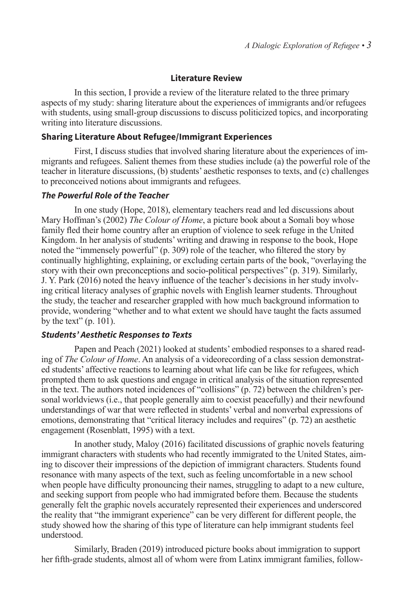#### **Literature Review**

In this section, I provide a review of the literature related to the three primary aspects of my study: sharing literature about the experiences of immigrants and/or refugees with students, using small-group discussions to discuss politicized topics, and incorporating writing into literature discussions.

### **Sharing Literature About Refugee/Immigrant Experiences**

First, I discuss studies that involved sharing literature about the experiences of immigrants and refugees. Salient themes from these studies include (a) the powerful role of the teacher in literature discussions, (b) students' aesthetic responses to texts, and (c) challenges to preconceived notions about immigrants and refugees.

#### *The Powerful Role of the Teacher*

In one study (Hope, 2018), elementary teachers read and led discussions about Mary Hoffman's (2002) *The Colour of Home*, a picture book about a Somali boy whose family fled their home country after an eruption of violence to seek refuge in the United Kingdom. In her analysis of students' writing and drawing in response to the book, Hope noted the "immensely powerful" (p. 309) role of the teacher, who filtered the story by continually highlighting, explaining, or excluding certain parts of the book, "overlaying the story with their own preconceptions and socio-political perspectives" (p. 319). Similarly, J. Y. Park (2016) noted the heavy influence of the teacher's decisions in her study involving critical literacy analyses of graphic novels with English learner students. Throughout the study, the teacher and researcher grappled with how much background information to provide, wondering "whether and to what extent we should have taught the facts assumed by the text"  $(p. 101)$ .

## *Students' Aesthetic Responses to Texts*

Papen and Peach (2021) looked at students' embodied responses to a shared reading of *The Colour of Home*. An analysis of a videorecording of a class session demonstrated students' affective reactions to learning about what life can be like for refugees, which prompted them to ask questions and engage in critical analysis of the situation represented in the text. The authors noted incidences of "collisions" (p. 72) between the children's personal worldviews (i.e., that people generally aim to coexist peacefully) and their newfound understandings of war that were reflected in students' verbal and nonverbal expressions of emotions, demonstrating that "critical literacy includes and requires" (p. 72) an aesthetic engagement (Rosenblatt, 1995) with a text.

In another study, Maloy (2016) facilitated discussions of graphic novels featuring immigrant characters with students who had recently immigrated to the United States, aiming to discover their impressions of the depiction of immigrant characters. Students found resonance with many aspects of the text, such as feeling uncomfortable in a new school when people have difficulty pronouncing their names, struggling to adapt to a new culture, and seeking support from people who had immigrated before them. Because the students generally felt the graphic novels accurately represented their experiences and underscored the reality that "the immigrant experience" can be very different for different people, the study showed how the sharing of this type of literature can help immigrant students feel understood.

Similarly, Braden (2019) introduced picture books about immigration to support her fifth-grade students, almost all of whom were from Latinx immigrant families, follow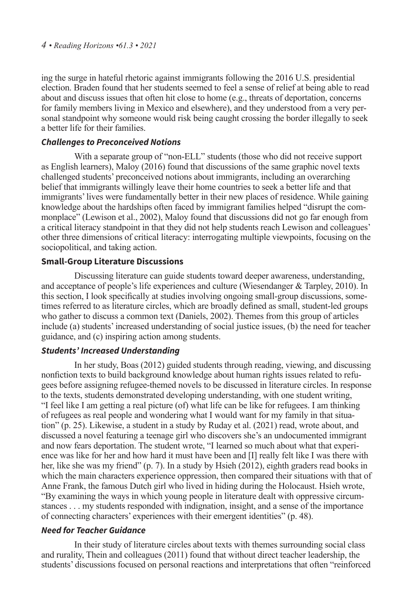ing the surge in hateful rhetoric against immigrants following the 2016 U.S. presidential election. Braden found that her students seemed to feel a sense of relief at being able to read about and discuss issues that often hit close to home (e.g., threats of deportation, concerns for family members living in Mexico and elsewhere), and they understood from a very personal standpoint why someone would risk being caught crossing the border illegally to seek a better life for their families.

## *Challenges to Preconceived Notions*

With a separate group of "non-ELL" students (those who did not receive support as English learners), Maloy (2016) found that discussions of the same graphic novel texts challenged students' preconceived notions about immigrants, including an overarching belief that immigrants willingly leave their home countries to seek a better life and that immigrants' lives were fundamentally better in their new places of residence. While gaining knowledge about the hardships often faced by immigrant families helped "disrupt the commonplace" (Lewison et al., 2002), Maloy found that discussions did not go far enough from a critical literacy standpoint in that they did not help students reach Lewison and colleagues' other three dimensions of critical literacy: interrogating multiple viewpoints, focusing on the sociopolitical, and taking action.

## **Small-Group Literature Discussions**

Discussing literature can guide students toward deeper awareness, understanding, and acceptance of people's life experiences and culture (Wiesendanger & Tarpley, 2010). In this section, I look specifically at studies involving ongoing small-group discussions, sometimes referred to as literature circles, which are broadly defined as small, student-led groups who gather to discuss a common text (Daniels, 2002). Themes from this group of articles include (a) students' increased understanding of social justice issues, (b) the need for teacher guidance, and (c) inspiring action among students.

## *Students' Increased Understanding*

In her study, Boas (2012) guided students through reading, viewing, and discussing nonfiction texts to build background knowledge about human rights issues related to refugees before assigning refugee-themed novels to be discussed in literature circles. In response to the texts, students demonstrated developing understanding, with one student writing, "I feel like I am getting a real picture (of) what life can be like for refugees. I am thinking of refugees as real people and wondering what I would want for my family in that situation" (p. 25). Likewise, a student in a study by Ruday et al. (2021) read, wrote about, and discussed a novel featuring a teenage girl who discovers she's an undocumented immigrant and now fears deportation. The student wrote, "I learned so much about what that experience was like for her and how hard it must have been and [I] really felt like I was there with her, like she was my friend" (p. 7). In a study by Hsieh (2012), eighth graders read books in which the main characters experience oppression, then compared their situations with that of Anne Frank, the famous Dutch girl who lived in hiding during the Holocaust. Hsieh wrote, "By examining the ways in which young people in literature dealt with oppressive circumstances . . . my students responded with indignation, insight, and a sense of the importance of connecting characters' experiences with their emergent identities" (p. 48).

## *Need for Teacher Guidance*

In their study of literature circles about texts with themes surrounding social class and rurality, Thein and colleagues (2011) found that without direct teacher leadership, the students' discussions focused on personal reactions and interpretations that often "reinforced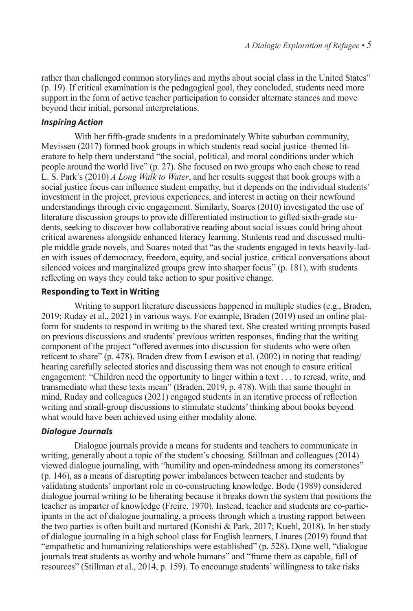rather than challenged common storylines and myths about social class in the United States" (p. 19). If critical examination is the pedagogical goal, they concluded, students need more support in the form of active teacher participation to consider alternate stances and move beyond their initial, personal interpretations.

## *Inspiring Action*

With her fifth-grade students in a predominately White suburban community, Mevissen (2017) formed book groups in which students read social justice–themed literature to help them understand "the social, political, and moral conditions under which people around the world live" (p. 27). She focused on two groups who each chose to read L. S. Park's (2010) *A Long Walk to Water*, and her results suggest that book groups with a social justice focus can influence student empathy, but it depends on the individual students' investment in the project, previous experiences, and interest in acting on their newfound understandings through civic engagement. Similarly, Soares (2010) investigated the use of literature discussion groups to provide differentiated instruction to gifted sixth-grade students, seeking to discover how collaborative reading about social issues could bring about critical awareness alongside enhanced literacy learning. Students read and discussed multiple middle grade novels, and Soares noted that "as the students engaged in texts heavily-laden with issues of democracy, freedom, equity, and social justice, critical conversations about silenced voices and marginalized groups grew into sharper focus" (p. 181), with students reflecting on ways they could take action to spur positive change.

## **Responding to Text in Writing**

Writing to support literature discussions happened in multiple studies (e.g., Braden, 2019; Ruday et al., 2021) in various ways. For example, Braden (2019) used an online platform for students to respond in writing to the shared text. She created writing prompts based on previous discussions and students' previous written responses, finding that the writing component of the project "offered avenues into discussion for students who were often reticent to share" (p. 478). Braden drew from Lewison et al. (2002) in noting that reading/ hearing carefully selected stories and discussing them was not enough to ensure critical engagement: "Children need the opportunity to linger within a text . . . to reread, write, and transmediate what these texts mean" (Braden, 2019, p. 478). With that same thought in mind, Ruday and colleagues (2021) engaged students in an iterative process of reflection writing and small-group discussions to stimulate students' thinking about books beyond what would have been achieved using either modality alone.

## *Dialogue Journals*

Dialogue journals provide a means for students and teachers to communicate in writing, generally about a topic of the student's choosing. Stillman and colleagues (2014) viewed dialogue journaling, with "humility and open-mindedness among its cornerstones" (p. 146), as a means of disrupting power imbalances between teacher and students by validating students' important role in co-constructing knowledge. Bode (1989) considered dialogue journal writing to be liberating because it breaks down the system that positions the teacher as imparter of knowledge (Freire, 1970). Instead, teacher and students are co-participants in the act of dialogue journaling, a process through which a trusting rapport between the two parties is often built and nurtured (Konishi & Park, 2017; Kuehl, 2018). In her study of dialogue journaling in a high school class for English learners, Linares (2019) found that "empathetic and humanizing relationships were established" (p. 528). Done well, "dialogue journals treat students as worthy and whole humans" and "frame them as capable, full of resources" (Stillman et al., 2014, p. 159). To encourage students' willingness to take risks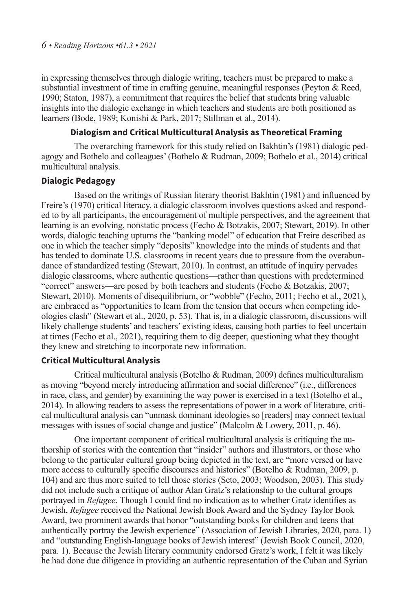in expressing themselves through dialogic writing, teachers must be prepared to make a substantial investment of time in crafting genuine, meaningful responses (Peyton & Reed, 1990; Staton, 1987), a commitment that requires the belief that students bring valuable insights into the dialogic exchange in which teachers and students are both positioned as learners (Bode, 1989; Konishi & Park, 2017; Stillman et al., 2014).

## **Dialogism and Critical Multicultural Analysis as Theoretical Framing**

The overarching framework for this study relied on Bakhtin's (1981) dialogic pedagogy and Bothelo and colleagues' (Bothelo & Rudman, 2009; Bothelo et al., 2014) critical multicultural analysis.

#### **Dialogic Pedagogy**

Based on the writings of Russian literary theorist Bakhtin (1981) and influenced by Freire's (1970) critical literacy, a dialogic classroom involves questions asked and responded to by all participants, the encouragement of multiple perspectives, and the agreement that learning is an evolving, nonstatic process (Fecho & Botzakis, 2007; Stewart, 2019). In other words, dialogic teaching upturns the "banking model" of education that Freire described as one in which the teacher simply "deposits" knowledge into the minds of students and that has tended to dominate U.S. classrooms in recent years due to pressure from the overabundance of standardized testing (Stewart, 2010). In contrast, an attitude of inquiry pervades dialogic classrooms, where authentic questions—rather than questions with predetermined "correct" answers—are posed by both teachers and students (Fecho & Botzakis, 2007; Stewart, 2010). Moments of disequilibrium, or "wobble" (Fecho, 2011; Fecho et al., 2021), are embraced as "opportunities to learn from the tension that occurs when competing ideologies clash" (Stewart et al., 2020, p. 53). That is, in a dialogic classroom, discussions will likely challenge students' and teachers' existing ideas, causing both parties to feel uncertain at times (Fecho et al., 2021), requiring them to dig deeper, questioning what they thought they knew and stretching to incorporate new information.

## **Critical Multicultural Analysis**

Critical multicultural analysis (Botelho & Rudman, 2009) defines multiculturalism as moving "beyond merely introducing affirmation and social difference" (i.e., differences in race, class, and gender) by examining the way power is exercised in a text (Botelho et al., 2014). In allowing readers to assess the representations of power in a work of literature, critical multicultural analysis can "unmask dominant ideologies so [readers] may connect textual messages with issues of social change and justice" (Malcolm & Lowery, 2011, p. 46).

One important component of critical multicultural analysis is critiquing the authorship of stories with the contention that "insider" authors and illustrators, or those who belong to the particular cultural group being depicted in the text, are "more versed or have more access to culturally specific discourses and histories" (Botelho & Rudman, 2009, p. 104) and are thus more suited to tell those stories (Seto, 2003; Woodson, 2003). This study did not include such a critique of author Alan Gratz's relationship to the cultural groups portrayed in *Refugee*. Though I could find no indication as to whether Gratz identifies as Jewish, *Refugee* received the National Jewish Book Award and the Sydney Taylor Book Award, two prominent awards that honor "outstanding books for children and teens that authentically portray the Jewish experience" (Association of Jewish Libraries, 2020, para. 1) and "outstanding English-language books of Jewish interest" (Jewish Book Council, 2020, para. 1). Because the Jewish literary community endorsed Gratz's work, I felt it was likely he had done due diligence in providing an authentic representation of the Cuban and Syrian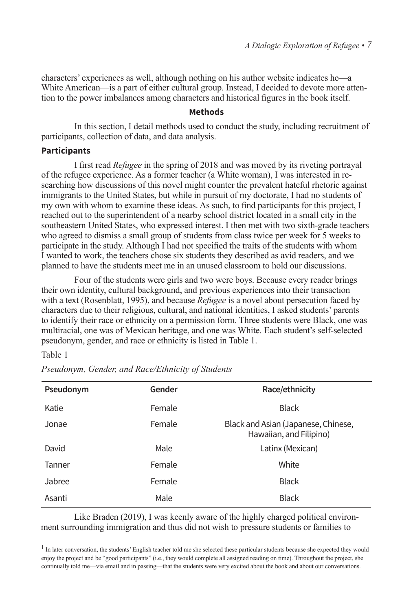characters' experiences as well, although nothing on his author website indicates he—a White American—is a part of either cultural group. Instead, I decided to devote more attention to the power imbalances among characters and historical figures in the book itself.

#### **Methods**

In this section, I detail methods used to conduct the study, including recruitment of participants, collection of data, and data analysis.

#### **Participants**

I first read *Refugee* in the spring of 2018 and was moved by its riveting portrayal of the refugee experience. As a former teacher (a White woman), I was interested in researching how discussions of this novel might counter the prevalent hateful rhetoric against immigrants to the United States, but while in pursuit of my doctorate, I had no students of my own with whom to examine these ideas. As such, to find participants for this project, I reached out to the superintendent of a nearby school district located in a small city in the southeastern United States, who expressed interest. I then met with two sixth-grade teachers who agreed to dismiss a small group of students from class twice per week for 5 weeks to participate in the study. Although I had not specified the traits of the students with whom I wanted to work, the teachers chose six students they described as avid readers, and we planned to have the students meet me in an unused classroom to hold our discussions.

Four of the students were girls and two were boys. Because every reader brings their own identity, cultural background, and previous experiences into their transaction with a text (Rosenblatt, 1995), and because *Refugee* is a novel about persecution faced by characters due to their religious, cultural, and national identities, I asked students' parents to identify their race or ethnicity on a permission form. Three students were Black, one was multiracial, one was of Mexican heritage, and one was White. Each student's self-selected pseudonym, gender, and race or ethnicity is listed in Table 1.

## Table 1

| Pseudonym | <b>Gender</b> | Race/ethnicity                                                 |
|-----------|---------------|----------------------------------------------------------------|
| Katie     | Female        | <b>Black</b>                                                   |
| Jonae     | Female        | Black and Asian (Japanese, Chinese,<br>Hawaiian, and Filipino) |
| David     | Male          | Latinx (Mexican)                                               |
| Tanner    | Female        | White                                                          |
| Jabree    | Female        | <b>Black</b>                                                   |
| Asanti    | Male          | <b>Black</b>                                                   |

*Pseudonym, Gender, and Race/Ethnicity of Students*

Like Braden (2019), I was keenly aware of the highly charged political environment surrounding immigration and thus did not wish to pressure students or families to

<sup>&</sup>lt;sup>1</sup> In later conversation, the students' English teacher told me she selected these particular students because she expected they would enjoy the project and be "good participants" (i.e., they would complete all assigned reading on time). Throughout the project, she continually told me—via email and in passing—that the students were very excited about the book and about our conversations.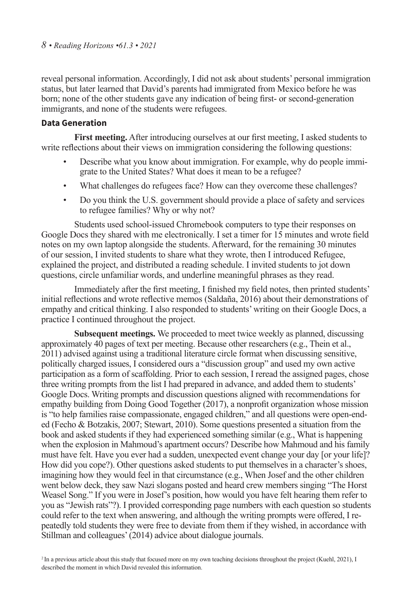reveal personal information. Accordingly, I did not ask about students' personal immigration status, but later learned that David's parents had immigrated from Mexico before he was born; none of the other students gave any indication of being first- or second-generation immigrants, and none of the students were refugees.

## **Data Generation**

**First meeting.** After introducing ourselves at our first meeting, I asked students to write reflections about their views on immigration considering the following questions:

- Describe what you know about immigration. For example, why do people immigrate to the United States? What does it mean to be a refugee?
- What challenges do refugees face? How can they overcome these challenges?
- Do you think the U.S. government should provide a place of safety and services to refugee families? Why or why not?

Students used school-issued Chromebook computers to type their responses on Google Docs they shared with me electronically. I set a timer for 15 minutes and wrote field notes on my own laptop alongside the students. Afterward, for the remaining 30 minutes of our session, I invited students to share what they wrote, then I introduced Refugee, explained the project, and distributed a reading schedule. I invited students to jot down questions, circle unfamiliar words, and underline meaningful phrases as they read.

Immediately after the first meeting, I finished my field notes, then printed students' initial reflections and wrote reflective memos (Saldaña, 2016) about their demonstrations of empathy and critical thinking. I also responded to students' writing on their Google Docs, a practice I continued throughout the project.

**Subsequent meetings.** We proceeded to meet twice weekly as planned, discussing approximately 40 pages of text per meeting. Because other researchers (e.g., Thein et al., 2011) advised against using a traditional literature circle format when discussing sensitive, politically charged issues, I considered ours a "discussion group" and used my own active participation as a form of scaffolding. Prior to each session, I reread the assigned pages, chose three writing prompts from the list I had prepared in advance, and added them to students' Google Docs. Writing prompts and discussion questions aligned with recommendations for empathy building from Doing Good Together (2017), a nonprofit organization whose mission is "to help families raise compassionate, engaged children," and all questions were open-ended (Fecho & Botzakis, 2007; Stewart, 2010). Some questions presented a situation from the book and asked students if they had experienced something similar (e.g., What is happening when the explosion in Mahmoud's apartment occurs? Describe how Mahmoud and his family must have felt. Have you ever had a sudden, unexpected event change your day [or your life]? How did you cope?). Other questions asked students to put themselves in a character's shoes, imagining how they would feel in that circumstance (e.g., When Josef and the other children went below deck, they saw Nazi slogans posted and heard crew members singing "The Horst Weasel Song." If you were in Josef's position, how would you have felt hearing them refer to you as "Jewish rats"?). I provided corresponding page numbers with each question so students could refer to the text when answering, and although the writing prompts were offered, I repeatedly told students they were free to deviate from them if they wished, in accordance with Stillman and colleagues' (2014) advice about dialogue journals.

<sup>2</sup> In a previous article about this study that focused more on my own teaching decisions throughout the project (Kuehl, 2021), I described the moment in which David revealed this information.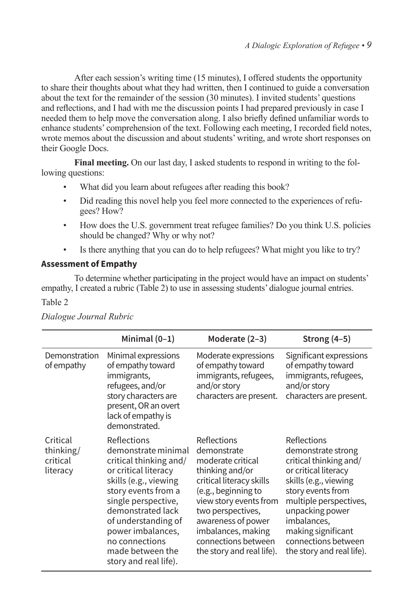After each session's writing time (15 minutes), I offered students the opportunity to share their thoughts about what they had written, then I continued to guide a conversation about the text for the remainder of the session (30 minutes). I invited students' questions and reflections, and I had with me the discussion points I had prepared previously in case I needed them to help move the conversation along. I also briefly defined unfamiliar words to enhance students' comprehension of the text. Following each meeting, I recorded field notes, wrote memos about the discussion and about students' writing, and wrote short responses on their Google Docs.

**Final meeting.** On our last day, I asked students to respond in writing to the following questions:

- What did you learn about refugees after reading this book?
- Did reading this novel help you feel more connected to the experiences of refugees? How?
- How does the U.S. government treat refugee families? Do you think U.S. policies should be changed? Why or why not?
- Is there anything that you can do to help refugees? What might you like to try?

## **Assessment of Empathy**

To determine whether participating in the project would have an impact on students' empathy, I created a rubric (Table 2) to use in assessing students' dialogue journal entries. Table 2

|                                               | Minimal $(0-1)$                                                                                                                                                                                                                                                                             | Moderate (2-3)                                                                                                                                                                                                                                                       | Strong $(4-5)$                                                                                                                                                                                                                                                          |
|-----------------------------------------------|---------------------------------------------------------------------------------------------------------------------------------------------------------------------------------------------------------------------------------------------------------------------------------------------|----------------------------------------------------------------------------------------------------------------------------------------------------------------------------------------------------------------------------------------------------------------------|-------------------------------------------------------------------------------------------------------------------------------------------------------------------------------------------------------------------------------------------------------------------------|
| Demonstration<br>of empathy                   | Minimal expressions<br>of empathy toward<br>immigrants,<br>refugees, and/or<br>story characters are<br>present, OR an overt<br>lack of empathy is<br>demonstrated.                                                                                                                          | Moderate expressions<br>of empathy toward<br>immigrants, refugees,<br>and/or story<br>characters are present.                                                                                                                                                        | Significant expressions<br>of empathy toward<br>immigrants, refugees,<br>and/or story<br>characters are present.                                                                                                                                                        |
| Critical<br>thinking/<br>critical<br>literacy | Reflections<br>demonstrate minimal<br>critical thinking and/<br>or critical literacy<br>skills (e.g., viewing<br>story events from a<br>single perspective,<br>demonstrated lack<br>of understanding of<br>power imbalances,<br>no connections<br>made between the<br>story and real life). | Reflections<br>demonstrate<br>moderate critical<br>thinking and/or<br>critical literacy skills<br>(e.g., beginning to<br>view story events from<br>two perspectives,<br>awareness of power<br>imbalances, making<br>connections between<br>the story and real life). | Reflections<br>demonstrate strong<br>critical thinking and/<br>or critical literacy<br>skills (e.g., viewing<br>story events from<br>multiple perspectives,<br>unpacking power<br>imbalances,<br>making significant<br>connections between<br>the story and real life). |

*Dialogue Journal Rubric*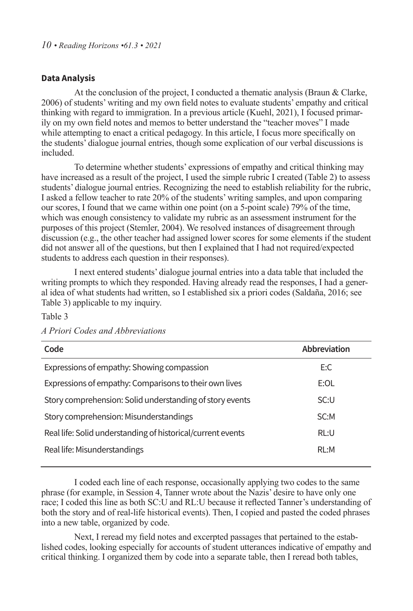## **Data Analysis**

At the conclusion of the project, I conducted a thematic analysis (Braun & Clarke, 2006) of students' writing and my own field notes to evaluate students' empathy and critical thinking with regard to immigration. In a previous article (Kuehl, 2021), I focused primarily on my own field notes and memos to better understand the "teacher moves" I made while attempting to enact a critical pedagogy. In this article, I focus more specifically on the students' dialogue journal entries, though some explication of our verbal discussions is included.

To determine whether students' expressions of empathy and critical thinking may have increased as a result of the project, I used the simple rubric I created (Table 2) to assess students' dialogue journal entries. Recognizing the need to establish reliability for the rubric, I asked a fellow teacher to rate 20% of the students' writing samples, and upon comparing our scores, I found that we came within one point (on a 5-point scale) 79% of the time, which was enough consistency to validate my rubric as an assessment instrument for the purposes of this project (Stemler, 2004). We resolved instances of disagreement through discussion (e.g., the other teacher had assigned lower scores for some elements if the student did not answer all of the questions, but then I explained that I had not required/expected students to address each question in their responses).

I next entered students' dialogue journal entries into a data table that included the writing prompts to which they responded. Having already read the responses, I had a general idea of what students had written, so I established six a priori codes (Saldaña, 2016; see Table 3) applicable to my inquiry.

| × |  |  |  |
|---|--|--|--|
|---|--|--|--|

| Code                                                        | <b>Abbreviation</b> |
|-------------------------------------------------------------|---------------------|
| Expressions of empathy: Showing compassion                  | E:C                 |
| Expressions of empathy: Comparisons to their own lives      | E:OL                |
| Story comprehension: Solid understanding of story events    | SC:U                |
| Story comprehension: Misunderstandings                      | SC:M                |
| Real life: Solid understanding of historical/current events | RL:U                |
| Real life: Misunderstandings                                | RL:M                |
|                                                             |                     |

*A Priori Codes and Abbreviations*

I coded each line of each response, occasionally applying two codes to the same phrase (for example, in Session 4, Tanner wrote about the Nazis' desire to have only one race; I coded this line as both SC:U and RL:U because it reflected Tanner's understanding of both the story and of real-life historical events). Then, I copied and pasted the coded phrases into a new table, organized by code.

Next, I reread my field notes and excerpted passages that pertained to the established codes, looking especially for accounts of student utterances indicative of empathy and critical thinking. I organized them by code into a separate table, then I reread both tables,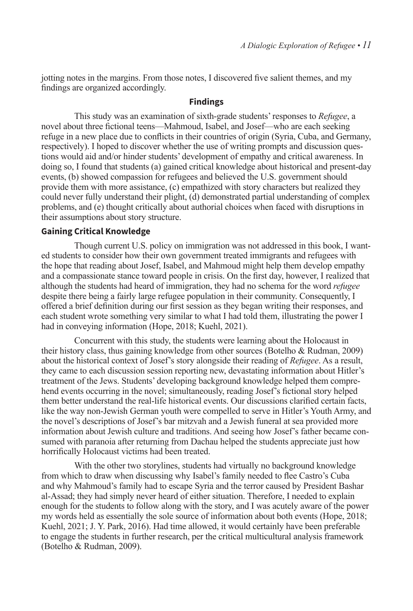jotting notes in the margins. From those notes, I discovered five salient themes, and my findings are organized accordingly.

## **Findings**

This study was an examination of sixth-grade students' responses to *Refugee*, a novel about three fictional teens—Mahmoud, Isabel, and Josef—who are each seeking refuge in a new place due to conflicts in their countries of origin (Syria, Cuba, and Germany, respectively). I hoped to discover whether the use of writing prompts and discussion questions would aid and/or hinder students' development of empathy and critical awareness. In doing so, I found that students (a) gained critical knowledge about historical and present-day events, (b) showed compassion for refugees and believed the U.S. government should provide them with more assistance, (c) empathized with story characters but realized they could never fully understand their plight, (d) demonstrated partial understanding of complex problems, and (e) thought critically about authorial choices when faced with disruptions in their assumptions about story structure.

## **Gaining Critical Knowledge**

Though current U.S. policy on immigration was not addressed in this book, I wanted students to consider how their own government treated immigrants and refugees with the hope that reading about Josef, Isabel, and Mahmoud might help them develop empathy and a compassionate stance toward people in crisis. On the first day, however, I realized that although the students had heard of immigration, they had no schema for the word *refugee* despite there being a fairly large refugee population in their community. Consequently, I offered a brief definition during our first session as they began writing their responses, and each student wrote something very similar to what I had told them, illustrating the power I had in conveying information (Hope, 2018; Kuehl, 2021).

Concurrent with this study, the students were learning about the Holocaust in their history class, thus gaining knowledge from other sources (Botelho & Rudman, 2009) about the historical context of Josef's story alongside their reading of *Refugee*. As a result, they came to each discussion session reporting new, devastating information about Hitler's treatment of the Jews. Students' developing background knowledge helped them comprehend events occurring in the novel; simultaneously, reading Josef's fictional story helped them better understand the real-life historical events. Our discussions clarified certain facts, like the way non-Jewish German youth were compelled to serve in Hitler's Youth Army, and the novel's descriptions of Josef's bar mitzvah and a Jewish funeral at sea provided more information about Jewish culture and traditions. And seeing how Josef's father became consumed with paranoia after returning from Dachau helped the students appreciate just how horrifically Holocaust victims had been treated.

With the other two storylines, students had virtually no background knowledge from which to draw when discussing why Isabel's family needed to flee Castro's Cuba and why Mahmoud's family had to escape Syria and the terror caused by President Bashar al-Assad; they had simply never heard of either situation. Therefore, I needed to explain enough for the students to follow along with the story, and I was acutely aware of the power my words held as essentially the sole source of information about both events (Hope, 2018; Kuehl, 2021; J. Y. Park, 2016). Had time allowed, it would certainly have been preferable to engage the students in further research, per the critical multicultural analysis framework (Botelho & Rudman, 2009).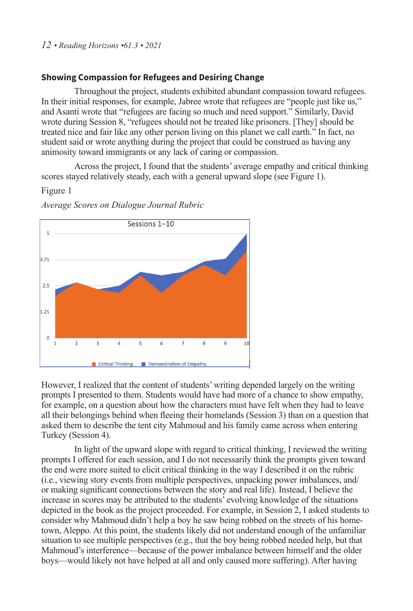## *12 • Reading Horizons •61.3 • 2021*

## **Showing Compassion for Refugees and Desiring Change**

Throughout the project, students exhibited abundant compassion toward refugees. In their initial responses, for example, Jabree wrote that refugees are "people just like us," and Asanti wrote that "refugees are facing so much and need support." Similarly, David wrote during Session 8, "refugees should not be treated like prisoners. [They] should be treated nice and fair like any other person living on this planet we call earth." In fact, no student said or wrote anything during the project that could be construed as having any animosity toward immigrants or any lack of caring or compassion.

Across the project, I found that the students' average empathy and critical thinking scores stayed relatively steady, each with a general upward slope (see Figure 1).

## Figure 1

*Average Scores on Dialogue Journal Rubric*



However, I realized that the content of students' writing depended largely on the writing prompts I presented to them. Students would have had more of a chance to show empathy, for example, on a question about how the characters must have felt when they had to leave all their belongings behind when fleeing their homelands (Session 3) than on a question that asked them to describe the tent city Mahmoud and his family came across when entering Turkey (Session 4).

In light of the upward slope with regard to critical thinking, I reviewed the writing prompts I offered for each session, and I do not necessarily think the prompts given toward the end were more suited to elicit critical thinking in the way I described it on the rubric (i.e., viewing story events from multiple perspectives, unpacking power imbalances, and/ or making significant connections between the story and real life). Instead, I believe the increase in scores may be attributed to the students' evolving knowledge of the situations depicted in the book as the project proceeded. For example, in Session 2, I asked students to consider why Mahmoud didn't help a boy he saw being robbed on the streets of his hometown, Aleppo. At this point, the students likely did not understand enough of the unfamiliar situation to see multiple perspectives (e.g., that the boy being robbed needed help, but that Mahmoud's interference—because of the power imbalance between himself and the older boys—would likely not have helped at all and only caused more suffering). After having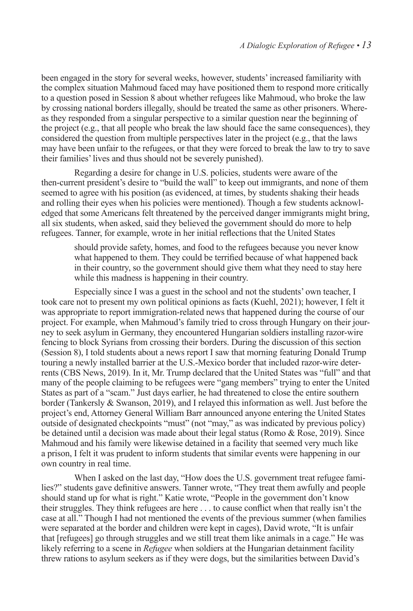been engaged in the story for several weeks, however, students' increased familiarity with the complex situation Mahmoud faced may have positioned them to respond more critically to a question posed in Session 8 about whether refugees like Mahmoud, who broke the law by crossing national borders illegally, should be treated the same as other prisoners. Whereas they responded from a singular perspective to a similar question near the beginning of the project (e.g., that all people who break the law should face the same consequences), they considered the question from multiple perspectives later in the project (e.g., that the laws may have been unfair to the refugees, or that they were forced to break the law to try to save their families' lives and thus should not be severely punished).

Regarding a desire for change in U.S. policies, students were aware of the then-current president's desire to "build the wall" to keep out immigrants, and none of them seemed to agree with his position (as evidenced, at times, by students shaking their heads and rolling their eyes when his policies were mentioned). Though a few students acknowledged that some Americans felt threatened by the perceived danger immigrants might bring, all six students, when asked, said they believed the government should do more to help refugees. Tanner, for example, wrote in her initial reflections that the United States

should provide safety, homes, and food to the refugees because you never know what happened to them. They could be terrified because of what happened back in their country, so the government should give them what they need to stay here while this madness is happening in their country.

Especially since I was a guest in the school and not the students' own teacher, I took care not to present my own political opinions as facts (Kuehl, 2021); however, I felt it was appropriate to report immigration-related news that happened during the course of our project. For example, when Mahmoud's family tried to cross through Hungary on their journey to seek asylum in Germany, they encountered Hungarian soldiers installing razor-wire fencing to block Syrians from crossing their borders. During the discussion of this section (Session 8), I told students about a news report I saw that morning featuring Donald Trump touring a newly installed barrier at the U.S.-Mexico border that included razor-wire deterrents (CBS News, 2019). In it, Mr. Trump declared that the United States was "full" and that many of the people claiming to be refugees were "gang members" trying to enter the United States as part of a "scam." Just days earlier, he had threatened to close the entire southern border (Tankersly & Swanson, 2019), and I relayed this information as well. Just before the project's end, Attorney General William Barr announced anyone entering the United States outside of designated checkpoints "must" (not "may," as was indicated by previous policy) be detained until a decision was made about their legal status (Romo & Rose, 2019). Since Mahmoud and his family were likewise detained in a facility that seemed very much like a prison, I felt it was prudent to inform students that similar events were happening in our own country in real time.

When I asked on the last day, "How does the U.S. government treat refugee families?" students gave definitive answers. Tanner wrote, "They treat them awfully and people should stand up for what is right." Katie wrote, "People in the government don't know their struggles. They think refugees are here . . . to cause conflict when that really isn't the case at all." Though I had not mentioned the events of the previous summer (when families were separated at the border and children were kept in cages), David wrote, "It is unfair that [refugees] go through struggles and we still treat them like animals in a cage." He was likely referring to a scene in *Refugee* when soldiers at the Hungarian detainment facility threw rations to asylum seekers as if they were dogs, but the similarities between David's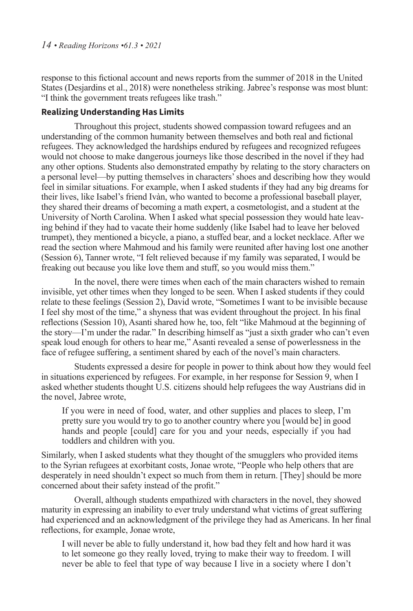response to this fictional account and news reports from the summer of 2018 in the United States (Desjardins et al., 2018) were nonetheless striking. Jabree's response was most blunt: "I think the government treats refugees like trash."

## **Realizing Understanding Has Limits**

Throughout this project, students showed compassion toward refugees and an understanding of the common humanity between themselves and both real and fictional refugees. They acknowledged the hardships endured by refugees and recognized refugees would not choose to make dangerous journeys like those described in the novel if they had any other options. Students also demonstrated empathy by relating to the story characters on a personal level—by putting themselves in characters' shoes and describing how they would feel in similar situations. For example, when I asked students if they had any big dreams for their lives, like Isabel's friend Ivàn, who wanted to become a professional baseball player, they shared their dreams of becoming a math expert, a cosmetologist, and a student at the University of North Carolina. When I asked what special possession they would hate leaving behind if they had to vacate their home suddenly (like Isabel had to leave her beloved trumpet), they mentioned a bicycle, a piano, a stuffed bear, and a locket necklace. After we read the section where Mahmoud and his family were reunited after having lost one another (Session 6), Tanner wrote, "I felt relieved because if my family was separated, I would be freaking out because you like love them and stuff, so you would miss them."

In the novel, there were times when each of the main characters wished to remain invisible, yet other times when they longed to be seen. When I asked students if they could relate to these feelings (Session 2), David wrote, "Sometimes I want to be invisible because I feel shy most of the time," a shyness that was evident throughout the project. In his final reflections (Session 10), Asanti shared how he, too, felt "like Mahmoud at the beginning of the story—I'm under the radar." In describing himself as "just a sixth grader who can't even speak loud enough for others to hear me," Asanti revealed a sense of powerlessness in the face of refugee suffering, a sentiment shared by each of the novel's main characters.

Students expressed a desire for people in power to think about how they would feel in situations experienced by refugees. For example, in her response for Session 9, when I asked whether students thought U.S. citizens should help refugees the way Austrians did in the novel, Jabree wrote,

If you were in need of food, water, and other supplies and places to sleep, I'm pretty sure you would try to go to another country where you [would be] in good hands and people [could] care for you and your needs, especially if you had toddlers and children with you.

Similarly, when I asked students what they thought of the smugglers who provided items to the Syrian refugees at exorbitant costs, Jonae wrote, "People who help others that are desperately in need shouldn't expect so much from them in return. [They] should be more concerned about their safety instead of the profit."

Overall, although students empathized with characters in the novel, they showed maturity in expressing an inability to ever truly understand what victims of great suffering had experienced and an acknowledgment of the privilege they had as Americans. In her final reflections, for example, Jonae wrote,

I will never be able to fully understand it, how bad they felt and how hard it was to let someone go they really loved, trying to make their way to freedom. I will never be able to feel that type of way because I live in a society where I don't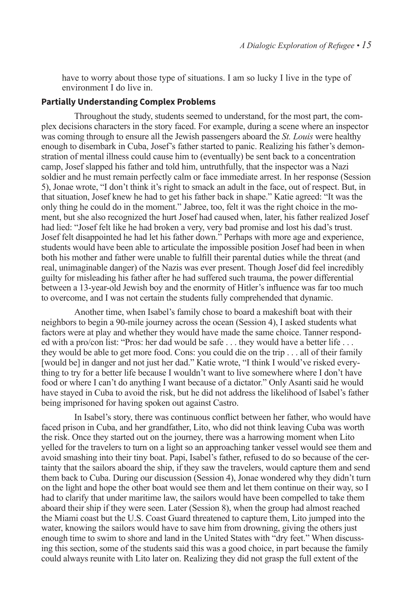have to worry about those type of situations. I am so lucky I live in the type of environment I do live in.

#### **Partially Understanding Complex Problems**

Throughout the study, students seemed to understand, for the most part, the complex decisions characters in the story faced. For example, during a scene where an inspector was coming through to ensure all the Jewish passengers aboard the *St. Louis* were healthy enough to disembark in Cuba, Josef's father started to panic. Realizing his father's demonstration of mental illness could cause him to (eventually) be sent back to a concentration camp, Josef slapped his father and told him, untruthfully, that the inspector was a Nazi soldier and he must remain perfectly calm or face immediate arrest. In her response (Session 5), Jonae wrote, "I don't think it's right to smack an adult in the face, out of respect. But, in that situation, Josef knew he had to get his father back in shape." Katie agreed: "It was the only thing he could do in the moment." Jabree, too, felt it was the right choice in the moment, but she also recognized the hurt Josef had caused when, later, his father realized Josef had lied: "Josef felt like he had broken a very, very bad promise and lost his dad's trust. Josef felt disappointed he had let his father down." Perhaps with more age and experience, students would have been able to articulate the impossible position Josef had been in when both his mother and father were unable to fulfill their parental duties while the threat (and real, unimaginable danger) of the Nazis was ever present. Though Josef did feel incredibly guilty for misleading his father after he had suffered such trauma, the power differential between a 13-year-old Jewish boy and the enormity of Hitler's influence was far too much to overcome, and I was not certain the students fully comprehended that dynamic.

Another time, when Isabel's family chose to board a makeshift boat with their neighbors to begin a 90-mile journey across the ocean (Session 4), I asked students what factors were at play and whether they would have made the same choice. Tanner responded with a pro/con list: "Pros: her dad would be safe . . . they would have a better life . . . they would be able to get more food. Cons: you could die on the trip . . . all of their family [would be] in danger and not just her dad." Katie wrote, "I think I would've risked everything to try for a better life because I wouldn't want to live somewhere where I don't have food or where I can't do anything I want because of a dictator." Only Asanti said he would have stayed in Cuba to avoid the risk, but he did not address the likelihood of Isabel's father being imprisoned for having spoken out against Castro.

In Isabel's story, there was continuous conflict between her father, who would have faced prison in Cuba, and her grandfather, Lito, who did not think leaving Cuba was worth the risk. Once they started out on the journey, there was a harrowing moment when Lito yelled for the travelers to turn on a light so an approaching tanker vessel would see them and avoid smashing into their tiny boat. Papi, Isabel's father, refused to do so because of the certainty that the sailors aboard the ship, if they saw the travelers, would capture them and send them back to Cuba. During our discussion (Session 4), Jonae wondered why they didn't turn on the light and hope the other boat would see them and let them continue on their way, so I had to clarify that under maritime law, the sailors would have been compelled to take them aboard their ship if they were seen. Later (Session 8), when the group had almost reached the Miami coast but the U.S. Coast Guard threatened to capture them, Lito jumped into the water, knowing the sailors would have to save him from drowning, giving the others just enough time to swim to shore and land in the United States with "dry feet." When discussing this section, some of the students said this was a good choice, in part because the family could always reunite with Lito later on. Realizing they did not grasp the full extent of the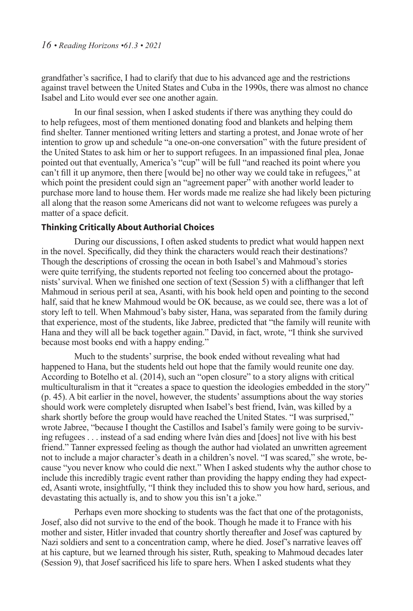grandfather's sacrifice, I had to clarify that due to his advanced age and the restrictions against travel between the United States and Cuba in the 1990s, there was almost no chance Isabel and Lito would ever see one another again.

In our final session, when I asked students if there was anything they could do to help refugees, most of them mentioned donating food and blankets and helping them find shelter. Tanner mentioned writing letters and starting a protest, and Jonae wrote of her intention to grow up and schedule "a one-on-one conversation" with the future president of the United States to ask him or her to support refugees. In an impassioned final plea, Jonae pointed out that eventually, America's "cup" will be full "and reached its point where you can't fill it up anymore, then there [would be] no other way we could take in refugees," at which point the president could sign an "agreement paper" with another world leader to purchase more land to house them. Her words made me realize she had likely been picturing all along that the reason some Americans did not want to welcome refugees was purely a matter of a space deficit.

## **Thinking Critically About Authorial Choices**

During our discussions, I often asked students to predict what would happen next in the novel. Specifically, did they think the characters would reach their destinations? Though the descriptions of crossing the ocean in both Isabel's and Mahmoud's stories were quite terrifying, the students reported not feeling too concerned about the protagonists' survival. When we finished one section of text (Session 5) with a cliffhanger that left Mahmoud in serious peril at sea, Asanti, with his book held open and pointing to the second half, said that he knew Mahmoud would be OK because, as we could see, there was a lot of story left to tell. When Mahmoud's baby sister, Hana, was separated from the family during that experience, most of the students, like Jabree, predicted that "the family will reunite with Hana and they will all be back together again." David, in fact, wrote, "I think she survived because most books end with a happy ending."

Much to the students' surprise, the book ended without revealing what had happened to Hana, but the students held out hope that the family would reunite one day. According to Botelho et al. (2014), such an "open closure" to a story aligns with critical multiculturalism in that it "creates a space to question the ideologies embedded in the story" (p. 45). A bit earlier in the novel, however, the students' assumptions about the way stories should work were completely disrupted when Isabel's best friend, Ivàn, was killed by a shark shortly before the group would have reached the United States. "I was surprised," wrote Jabree, "because I thought the Castillos and Isabel's family were going to be surviving refugees . . . instead of a sad ending where Ivàn dies and [does] not live with his best friend." Tanner expressed feeling as though the author had violated an unwritten agreement not to include a major character's death in a children's novel. "I was scared," she wrote, because "you never know who could die next." When I asked students why the author chose to include this incredibly tragic event rather than providing the happy ending they had expected, Asanti wrote, insightfully, "I think they included this to show you how hard, serious, and devastating this actually is, and to show you this isn't a joke."

Perhaps even more shocking to students was the fact that one of the protagonists, Josef, also did not survive to the end of the book. Though he made it to France with his mother and sister, Hitler invaded that country shortly thereafter and Josef was captured by Nazi soldiers and sent to a concentration camp, where he died. Josef's narrative leaves off at his capture, but we learned through his sister, Ruth, speaking to Mahmoud decades later (Session 9), that Josef sacrificed his life to spare hers. When I asked students what they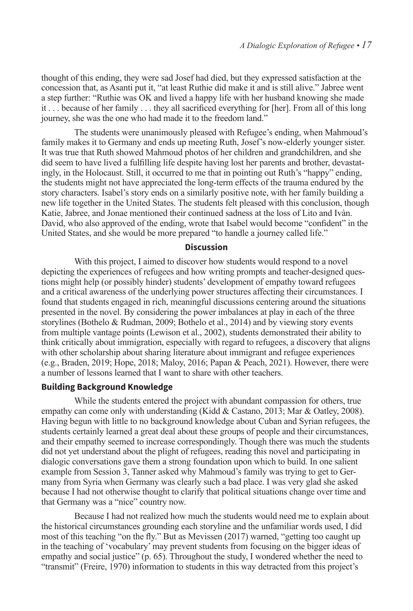thought of this ending, they were sad Josef had died, but they expressed satisfaction at the concession that, as Asanti put it, "at least Ruthie did make it and is still alive." Jabree went a step further: "Ruthie was OK and lived a happy life with her husband knowing she made it . . . because of her family . . . they all sacrificed everything for [her]. From all of this long journey, she was the one who had made it to the freedom land."

The students were unanimously pleased with Refugee's ending, when Mahmoud's family makes it to Germany and ends up meeting Ruth, Josef's now-elderly younger sister. It was true that Ruth showed Mahmoud photos of her children and grandchildren, and she did seem to have lived a fulfilling life despite having lost her parents and brother, devastatingly, in the Holocaust. Still, it occurred to me that in pointing out Ruth's "happy" ending, the students might not have appreciated the long-term effects of the trauma endured by the story characters. Isabel's story ends on a similarly positive note, with her family building a new life together in the United States. The students felt pleased with this conclusion, though Katie, Jabree, and Jonae mentioned their continued sadness at the loss of Lito and Ivàn. David, who also approved of the ending, wrote that Isabel would become "confident" in the United States, and she would be more prepared "to handle a journey called life."

## **Discussion**

With this project, I aimed to discover how students would respond to a novel depicting the experiences of refugees and how writing prompts and teacher-designed questions might help (or possibly hinder) students' development of empathy toward refugees and a critical awareness of the underlying power structures affecting their circumstances. I found that students engaged in rich, meaningful discussions centering around the situations presented in the novel. By considering the power imbalances at play in each of the three storylines (Bothelo & Rudman, 2009; Bothelo et al., 2014) and by viewing story events from multiple vantage points (Lewison et al., 2002), students demonstrated their ability to think critically about immigration, especially with regard to refugees, a discovery that aligns with other scholarship about sharing literature about immigrant and refugee experiences (e.g., Braden, 2019; Hope, 2018; Maloy, 2016; Papan & Peach, 2021). However, there were a number of lessons learned that I want to share with other teachers.

## **Building Background Knowledge**

While the students entered the project with abundant compassion for others, true empathy can come only with understanding (Kidd & Castano, 2013; Mar & Oatley, 2008). Having begun with little to no background knowledge about Cuban and Syrian refugees, the students certainly learned a great deal about these groups of people and their circumstances, and their empathy seemed to increase correspondingly. Though there was much the students did not yet understand about the plight of refugees, reading this novel and participating in dialogic conversations gave them a strong foundation upon which to build. In one salient example from Session 3, Tanner asked why Mahmoud's family was trying to get to Germany from Syria when Germany was clearly such a bad place. I was very glad she asked because I had not otherwise thought to clarify that political situations change over time and that Germany was a "nice" country now.

Because I had not realized how much the students would need me to explain about the historical circumstances grounding each storyline and the unfamiliar words used, I did most of this teaching "on the fly." But as Mevissen (2017) warned, "getting too caught up in the teaching of 'vocabulary' may prevent students from focusing on the bigger ideas of empathy and social justice" (p. 65). Throughout the study, I wondered whether the need to "transmit" (Freire, 1970) information to students in this way detracted from this project's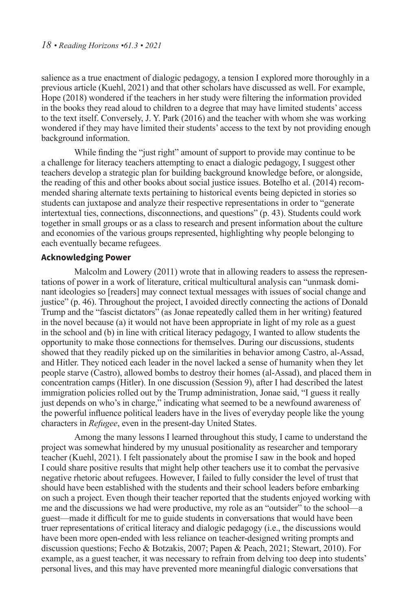salience as a true enactment of dialogic pedagogy, a tension I explored more thoroughly in a previous article (Kuehl, 2021) and that other scholars have discussed as well. For example, Hope (2018) wondered if the teachers in her study were filtering the information provided in the books they read aloud to children to a degree that may have limited students' access to the text itself. Conversely, J. Y. Park (2016) and the teacher with whom she was working wondered if they may have limited their students' access to the text by not providing enough background information.

While finding the "just right" amount of support to provide may continue to be a challenge for literacy teachers attempting to enact a dialogic pedagogy, I suggest other teachers develop a strategic plan for building background knowledge before, or alongside, the reading of this and other books about social justice issues. Botelho et al. (2014) recommended sharing alternate texts pertaining to historical events being depicted in stories so students can juxtapose and analyze their respective representations in order to "generate intertextual ties, connections, disconnections, and questions" (p. 43). Students could work together in small groups or as a class to research and present information about the culture and economies of the various groups represented, highlighting why people belonging to each eventually became refugees.

## **Acknowledging Power**

Malcolm and Lowery (2011) wrote that in allowing readers to assess the representations of power in a work of literature, critical multicultural analysis can "unmask dominant ideologies so [readers] may connect textual messages with issues of social change and justice" (p. 46). Throughout the project, I avoided directly connecting the actions of Donald Trump and the "fascist dictators" (as Jonae repeatedly called them in her writing) featured in the novel because (a) it would not have been appropriate in light of my role as a guest in the school and (b) in line with critical literacy pedagogy, I wanted to allow students the opportunity to make those connections for themselves. During our discussions, students showed that they readily picked up on the similarities in behavior among Castro, al-Assad, and Hitler. They noticed each leader in the novel lacked a sense of humanity when they let people starve (Castro), allowed bombs to destroy their homes (al-Assad), and placed them in concentration camps (Hitler). In one discussion (Session 9), after I had described the latest immigration policies rolled out by the Trump administration, Jonae said, "I guess it really just depends on who's in charge," indicating what seemed to be a newfound awareness of the powerful influence political leaders have in the lives of everyday people like the young characters in *Refugee*, even in the present-day United States.

Among the many lessons I learned throughout this study, I came to understand the project was somewhat hindered by my unusual positionality as researcher and temporary teacher (Kuehl, 2021). I felt passionately about the promise I saw in the book and hoped I could share positive results that might help other teachers use it to combat the pervasive negative rhetoric about refugees. However, I failed to fully consider the level of trust that should have been established with the students and their school leaders before embarking on such a project. Even though their teacher reported that the students enjoyed working with me and the discussions we had were productive, my role as an "outsider" to the school—a guest—made it difficult for me to guide students in conversations that would have been truer representations of critical literacy and dialogic pedagogy (i.e., the discussions would have been more open-ended with less reliance on teacher-designed writing prompts and discussion questions; Fecho & Botzakis, 2007; Papen & Peach, 2021; Stewart, 2010). For example, as a guest teacher, it was necessary to refrain from delving too deep into students' personal lives, and this may have prevented more meaningful dialogic conversations that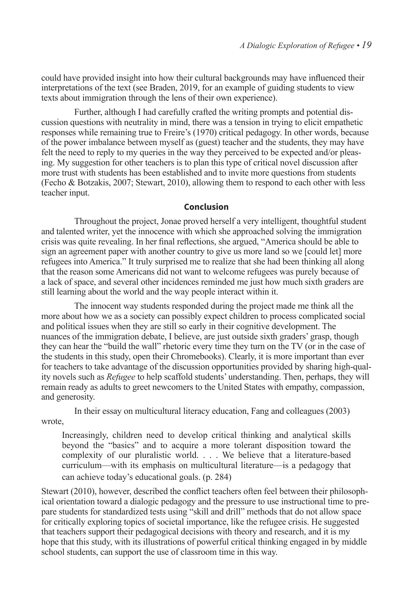could have provided insight into how their cultural backgrounds may have influenced their interpretations of the text (see Braden, 2019, for an example of guiding students to view texts about immigration through the lens of their own experience).

Further, although I had carefully crafted the writing prompts and potential discussion questions with neutrality in mind, there was a tension in trying to elicit empathetic responses while remaining true to Freire's (1970) critical pedagogy. In other words, because of the power imbalance between myself as (guest) teacher and the students, they may have felt the need to reply to my queries in the way they perceived to be expected and/or pleasing. My suggestion for other teachers is to plan this type of critical novel discussion after more trust with students has been established and to invite more questions from students (Fecho & Botzakis, 2007; Stewart, 2010), allowing them to respond to each other with less teacher input.

#### **Conclusion**

Throughout the project, Jonae proved herself a very intelligent, thoughtful student and talented writer, yet the innocence with which she approached solving the immigration crisis was quite revealing. In her final reflections, she argued, "America should be able to sign an agreement paper with another country to give us more land so we [could let] more refugees into America." It truly surprised me to realize that she had been thinking all along that the reason some Americans did not want to welcome refugees was purely because of a lack of space, and several other incidences reminded me just how much sixth graders are still learning about the world and the way people interact within it.

The innocent way students responded during the project made me think all the more about how we as a society can possibly expect children to process complicated social and political issues when they are still so early in their cognitive development. The nuances of the immigration debate, I believe, are just outside sixth graders' grasp, though they can hear the "build the wall" rhetoric every time they turn on the TV (or in the case of the students in this study, open their Chromebooks). Clearly, it is more important than ever for teachers to take advantage of the discussion opportunities provided by sharing high-quality novels such as *Refugee* to help scaffold students' understanding. Then, perhaps, they will remain ready as adults to greet newcomers to the United States with empathy, compassion, and generosity.

In their essay on multicultural literacy education, Fang and colleagues (2003) wrote,

Increasingly, children need to develop critical thinking and analytical skills beyond the "basics" and to acquire a more tolerant disposition toward the complexity of our pluralistic world. . . . We believe that a literature-based curriculum—with its emphasis on multicultural literature—is a pedagogy that can achieve today's educational goals. (p. 284)

Stewart (2010), however, described the conflict teachers often feel between their philosophical orientation toward a dialogic pedagogy and the pressure to use instructional time to prepare students for standardized tests using "skill and drill" methods that do not allow space for critically exploring topics of societal importance, like the refugee crisis. He suggested that teachers support their pedagogical decisions with theory and research, and it is my hope that this study, with its illustrations of powerful critical thinking engaged in by middle school students, can support the use of classroom time in this way.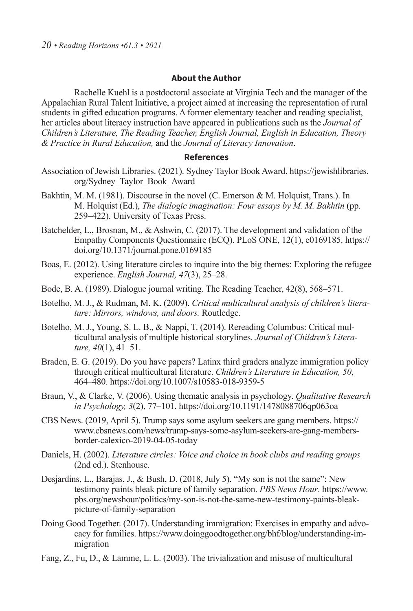#### **About the Author**

Rachelle Kuehl is a postdoctoral associate at Virginia Tech and the manager of the Appalachian Rural Talent Initiative, a project aimed at increasing the representation of rural students in gifted education programs. A former elementary teacher and reading specialist, her articles about literacy instruction have appeared in publications such as the *Journal of Children's Literature, The Reading Teacher, English Journal, English in Education, Theory & Practice in Rural Education,* and the *Journal of Literacy Innovation*.

#### **References**

- Association of Jewish Libraries. (2021). Sydney Taylor Book Award. https://jewishlibraries. org/Sydney\_Taylor\_Book\_Award
- Bakhtin, M. M. (1981). Discourse in the novel (C. Emerson & M. Holquist, Trans.). In M. Holquist (Ed.), *The dialogic imagination: Four essays by M. M. Bakhtin* (pp. 259–422). University of Texas Press.
- Batchelder, L., Brosnan, M., & Ashwin, C. (2017). The development and validation of the Empathy Components Questionnaire (ECQ). PLoS ONE, 12(1), e0169185. https:// doi.org/10.1371/journal.pone.0169185
- Boas, E. (2012). Using literature circles to inquire into the big themes: Exploring the refugee experience. *English Journal, 47*(3), 25–28.
- Bode, B. A. (1989). Dialogue journal writing. The Reading Teacher, 42(8), 568–571.
- Botelho, M. J., & Rudman, M. K. (2009). *Critical multicultural analysis of children's literature: Mirrors, windows, and doors.* Routledge.
- Botelho, M. J., Young, S. L. B., & Nappi, T. (2014). Rereading Columbus: Critical multicultural analysis of multiple historical storylines. *Journal of Children's Literature, 40*(1), 41–51.
- Braden, E. G. (2019). Do you have papers? Latinx third graders analyze immigration policy through critical multicultural literature. *Children's Literature in Education, 50*, 464–480. https://doi.org/10.1007/s10583-018-9359-5
- Braun, V., & Clarke, V. (2006). Using thematic analysis in psychology. *Qualitative Research in Psychology, 3*(2), 77–101. https://doi.org/10.1191/1478088706qp063oa
- CBS News. (2019, April 5). Trump says some asylum seekers are gang members. https:// www.cbsnews.com/news/trump-says-some-asylum-seekers-are-gang-membersborder-calexico-2019-04-05-today
- Daniels, H. (2002). *Literature circles: Voice and choice in book clubs and reading groups* (2nd ed.). Stenhouse.
- Desjardins, L., Barajas, J., & Bush, D. (2018, July 5). "My son is not the same": New testimony paints bleak picture of family separation. *PBS News Hour*. https://www. pbs.org/newshour/politics/my-son-is-not-the-same-new-testimony-paints-bleakpicture-of-family-separation
- Doing Good Together. (2017). Understanding immigration: Exercises in empathy and advocacy for families. https://www.doinggoodtogether.org/bhf/blog/understanding-immigration
- Fang, Z., Fu, D., & Lamme, L. L. (2003). The trivialization and misuse of multicultural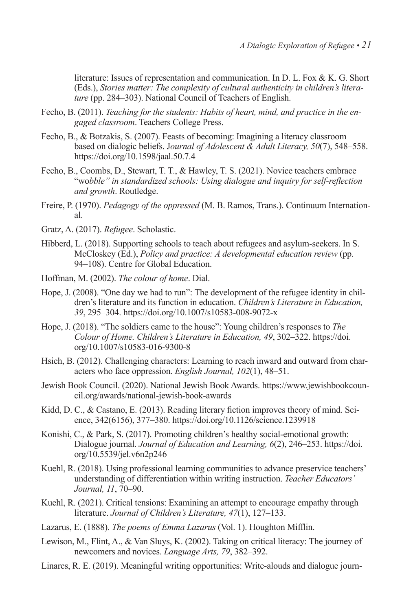literature: Issues of representation and communication. In D. L. Fox & K. G. Short (Eds.), *Stories matter: The complexity of cultural authenticity in children's literature* (pp. 284–303). National Council of Teachers of English.

- Fecho, B. (2011). *Teaching for the students: Habits of heart, mind, and practice in the engaged classroom*. Teachers College Press.
- Fecho, B., & Botzakis, S. (2007). Feasts of becoming: Imagining a literacy classroom based on dialogic beliefs. J*ournal of Adolescent & Adult Literacy, 50*(7), 548–558. https://doi.org/10.1598/jaal.50.7.4
- Fecho, B., Coombs, D., Stewart, T. T., & Hawley, T. S. (2021). Novice teachers embrace "wo*bble" in standardized schools: Using dialogue and inquiry for self-reflection and growth*. Routledge.
- Freire, P. (1970). *Pedagogy of the oppressed* (M. B. Ramos, Trans.). Continuum International.
- Gratz, A. (2017). *Refugee*. Scholastic.
- Hibberd, L. (2018). Supporting schools to teach about refugees and asylum-seekers. In S. McCloskey (Ed.), *Policy and practice: A developmental education review* (pp. 94–108). Centre for Global Education.
- Hoffman, M. (2002). *The colour of home*. Dial.
- Hope, J. (2008). "One day we had to run": The development of the refugee identity in children's literature and its function in education. *Children's Literature in Education, 39*, 295–304. https://doi.org/10.1007/s10583-008-9072-x
- Hope, J. (2018). "The soldiers came to the house": Young children's responses to *The Colour of Home. Children's Literature in Education, 49*, 302–322. https://doi. org/10.1007/s10583-016-9300-8
- Hsieh, B. (2012). Challenging characters: Learning to reach inward and outward from characters who face oppression. *English Journal, 102*(1), 48–51.
- Jewish Book Council. (2020). National Jewish Book Awards. https://www.jewishbookcouncil.org/awards/national-jewish-book-awards
- Kidd, D. C., & Castano, E. (2013). Reading literary fiction improves theory of mind. Science, 342(6156), 377–380. https://doi.org/10.1126/science.1239918
- Konishi, C., & Park, S. (2017). Promoting children's healthy social-emotional growth: Dialogue journal. *Journal of Education and Learning, 6*(2), 246–253. https://doi. org/10.5539/jel.v6n2p246
- Kuehl, R. (2018). Using professional learning communities to advance preservice teachers' understanding of differentiation within writing instruction. *Teacher Educators' Journal, 11*, 70–90.
- Kuehl, R. (2021). Critical tensions: Examining an attempt to encourage empathy through literature. *Journal of Children's Literature, 47*(1), 127–133.
- Lazarus, E. (1888). *The poems of Emma Lazarus* (Vol. 1). Houghton Mifflin.
- Lewison, M., Flint, A., & Van Sluys, K. (2002). Taking on critical literacy: The journey of newcomers and novices. *Language Arts, 79*, 382–392.
- Linares, R. E. (2019). Meaningful writing opportunities: Write-alouds and dialogue journ-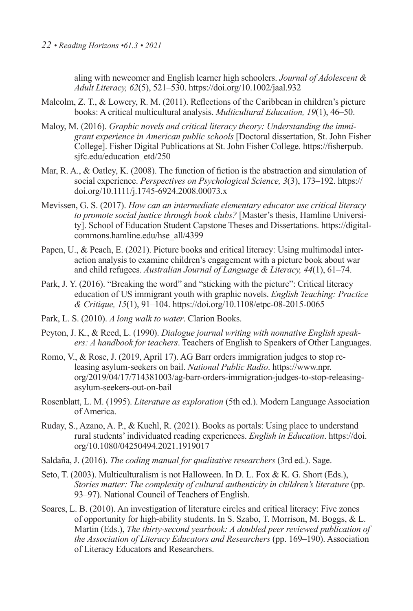aling with newcomer and English learner high schoolers. *Journal of Adolescent & Adult Literacy, 62*(5), 521–530. https://doi.org/10.1002/jaal.932

- Malcolm, Z. T., & Lowery, R. M. (2011). Reflections of the Caribbean in children's picture books: A critical multicultural analysis. *Multicultural Education, 19*(1), 46–50.
- Maloy, M. (2016). *Graphic novels and critical literacy theory: Understanding the immigrant experience in American public schools* [Doctoral dissertation, St. John Fisher College]. Fisher Digital Publications at St. John Fisher College. https://fisherpub. sjfc.edu/education\_etd/250
- Mar, R. A., & Oatley, K. (2008). The function of fiction is the abstraction and simulation of social experience. *Perspectives on Psychological Science, 3*(3), 173–192. https:// doi.org/10.1111/j.1745-6924.2008.00073.x
- Mevissen, G. S. (2017). *How can an intermediate elementary educator use critical literacy to promote social justice through book clubs?* [Master's thesis, Hamline University]. School of Education Student Capstone Theses and Dissertations. https://digitalcommons.hamline.edu/hse\_all/4399
- Papen, U., & Peach, E. (2021). Picture books and critical literacy: Using multimodal interaction analysis to examine children's engagement with a picture book about war and child refugees. *Australian Journal of Language & Literacy, 44*(1), 61–74.
- Park, J. Y. (2016). "Breaking the word" and "sticking with the picture": Critical literacy education of US immigrant youth with graphic novels. *English Teaching: Practice & Critique, 15*(1), 91–104. https://doi.org/10.1108/etpc-08-2015-0065
- Park, L. S. (2010). *A long walk to water*. Clarion Books.
- Peyton, J. K., & Reed, L. (1990). *Dialogue journal writing with nonnative English speakers: A handbook for teachers*. Teachers of English to Speakers of Other Languages.
- Romo, V., & Rose, J. (2019, April 17). AG Barr orders immigration judges to stop releasing asylum-seekers on bail. *National Public Radio*. https://www.npr. org/2019/04/17/714381003/ag-barr-orders-immigration-judges-to-stop-releasingasylum-seekers-out-on-bail
- Rosenblatt, L. M. (1995). *Literature as exploration* (5th ed.). Modern Language Association of America.
- Ruday, S., Azano, A. P., & Kuehl, R. (2021). Books as portals: Using place to understand rural students' individuated reading experiences. *English in Education*. https://doi. org/10.1080/04250494.2021.1919017
- Saldaña, J. (2016). *The coding manual for qualitative researchers* (3rd ed.). Sage.
- Seto, T. (2003). Multiculturalism is not Halloween. In D. L. Fox & K. G. Short (Eds.), *Stories matter: The complexity of cultural authenticity in children's literature* (pp. 93–97). National Council of Teachers of English.
- Soares, L. B. (2010). An investigation of literature circles and critical literacy: Five zones of opportunity for high-ability students. In S. Szabo, T. Morrison, M. Boggs, & L. Martin (Eds.), *The thirty-second yearbook: A doubled peer reviewed publication of the Association of Literacy Educators and Researchers* (pp. 169–190). Association of Literacy Educators and Researchers.